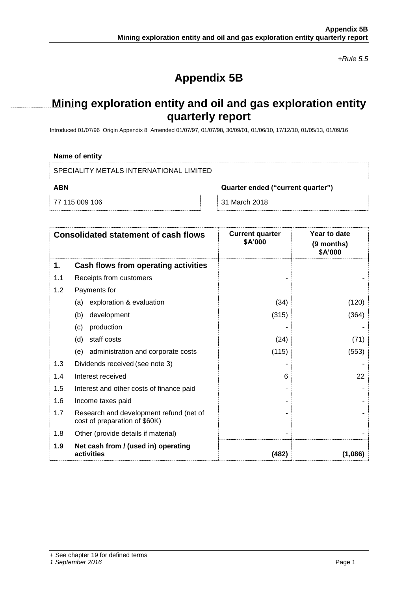*+Rule 5.5*

# **Appendix 5B**

## **Mining exploration entity and oil and gas exploration entity quarterly report**

Introduced 01/07/96 Origin Appendix 8 Amended 01/07/97, 01/07/98, 30/09/01, 01/06/10, 17/12/10, 01/05/13, 01/09/16

### **Name of entity**

SPECIALITY METALS INTERNATIONAL LIMITED

**ABN Quarter ended ("current quarter")**

77 115 009 106 31 March 2018

| <b>Consolidated statement of cash flows</b> |                                                                          | <b>Current quarter</b><br>\$A'000 | Year to date<br>(9 months)<br>\$A'000 |
|---------------------------------------------|--------------------------------------------------------------------------|-----------------------------------|---------------------------------------|
| 1.                                          | Cash flows from operating activities                                     |                                   |                                       |
| 1.1                                         | Receipts from customers                                                  |                                   |                                       |
| 1.2                                         | Payments for                                                             |                                   |                                       |
|                                             | exploration & evaluation<br>(a)                                          | (34)                              | (120)                                 |
|                                             | development<br>(b)                                                       | (315)                             | (364)                                 |
|                                             | production<br>(c)                                                        |                                   |                                       |
|                                             | staff costs<br>(d)                                                       | (24)                              | (71)                                  |
|                                             | administration and corporate costs<br>(e)                                | (115)                             | (553)                                 |
| 1.3                                         | Dividends received (see note 3)                                          |                                   |                                       |
| 1.4                                         | Interest received                                                        | 6                                 | 22                                    |
| 1.5                                         | Interest and other costs of finance paid                                 |                                   |                                       |
| 1.6                                         | Income taxes paid                                                        |                                   |                                       |
| 1.7                                         | Research and development refund (net of<br>cost of preparation of \$60K) |                                   |                                       |
| 1.8                                         | Other (provide details if material)                                      |                                   |                                       |
| 1.9                                         | Net cash from / (used in) operating<br>activities                        | (482)                             | (1,086)                               |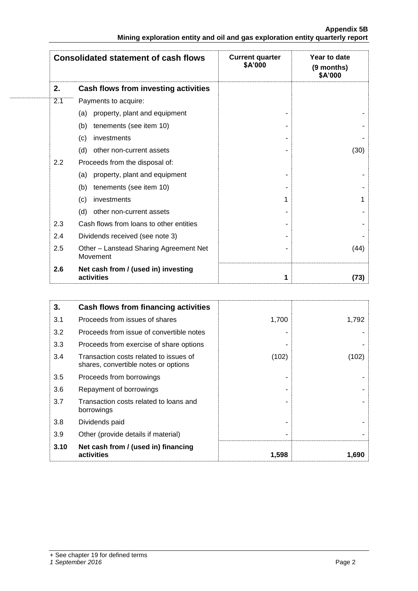|                                                                               | <b>Appendix 5B</b> |
|-------------------------------------------------------------------------------|--------------------|
| Mining exploration entity and oil and gas exploration entity quarterly report |                    |

|     | <b>Consolidated statement of cash flows</b>        | <b>Current quarter</b><br>\$A'000 | Year to date<br>(9 months)<br>\$A'000 |  |
|-----|----------------------------------------------------|-----------------------------------|---------------------------------------|--|
| 2.  | Cash flows from investing activities               |                                   |                                       |  |
| 2.1 | Payments to acquire:                               |                                   |                                       |  |
|     | property, plant and equipment<br>(a)               |                                   |                                       |  |
|     | (b)<br>tenements (see item 10)                     |                                   |                                       |  |
|     | investments<br>(c)                                 |                                   |                                       |  |
|     | (d)<br>other non-current assets                    |                                   | (30)                                  |  |
| 2.2 | Proceeds from the disposal of:                     |                                   |                                       |  |
|     | property, plant and equipment<br>(a)               |                                   |                                       |  |
|     | tenements (see item 10)<br>(b)                     |                                   |                                       |  |
|     | investments<br>(c)                                 | 1                                 | 1                                     |  |
|     | (d)<br>other non-current assets                    |                                   |                                       |  |
| 2.3 | Cash flows from loans to other entities            |                                   |                                       |  |
| 2.4 | Dividends received (see note 3)                    |                                   |                                       |  |
| 2.5 | Other - Lanstead Sharing Agreement Net<br>Movement |                                   | (44)                                  |  |
| 2.6 | Net cash from / (used in) investing<br>activities  | 1                                 | (73)                                  |  |

| 3.   | Cash flows from financing activities                                           |       |       |
|------|--------------------------------------------------------------------------------|-------|-------|
| 3.1  | Proceeds from issues of shares                                                 | 1,700 | 1,792 |
| 3.2  | Proceeds from issue of convertible notes                                       |       |       |
| 3.3  | Proceeds from exercise of share options                                        |       |       |
| 3.4  | Transaction costs related to issues of<br>shares, convertible notes or options | (102) | (102) |
| 3.5  | Proceeds from borrowings                                                       |       |       |
| 3.6  | Repayment of borrowings                                                        |       |       |
| 3.7  | Transaction costs related to loans and<br>borrowings                           |       |       |
| 3.8  | Dividends paid                                                                 |       |       |
| 3.9  | Other (provide details if material)                                            |       |       |
| 3.10 | Net cash from / (used in) financing<br>activities                              | 1,598 | 1,690 |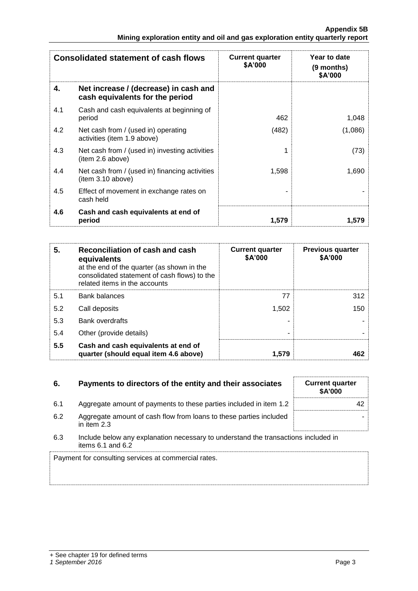| <b>Consolidated statement of cash flows</b> |                                                                          | <b>Current quarter</b><br>\$A'000 | Year to date<br>(9 months)<br>\$A'000 |  |
|---------------------------------------------|--------------------------------------------------------------------------|-----------------------------------|---------------------------------------|--|
| 4.                                          | Net increase / (decrease) in cash and<br>cash equivalents for the period |                                   |                                       |  |
| 4.1                                         | Cash and cash equivalents at beginning of<br>period                      | 462                               | 1,048                                 |  |
| 4.2                                         | Net cash from / (used in) operating<br>activities (item 1.9 above)       | (482)                             | (1,086)                               |  |
| 4.3                                         | Net cash from / (used in) investing activities<br>(item 2.6 above)       |                                   | (73)                                  |  |
| 4.4                                         | Net cash from / (used in) financing activities<br>(item 3.10 above)      | 1,598                             | 1,690                                 |  |
| 4.5                                         | Effect of movement in exchange rates on<br>cash held                     |                                   |                                       |  |
| 4.6                                         | Cash and cash equivalents at end of<br>period                            | 1,579                             | 1.579                                 |  |

| 5.  | Reconciliation of cash and cash<br>equivalents<br>at the end of the quarter (as shown in the<br>consolidated statement of cash flows) to the<br>related items in the accounts | <b>Current quarter</b><br>\$A'000 | <b>Previous quarter</b><br>\$A'000 |
|-----|-------------------------------------------------------------------------------------------------------------------------------------------------------------------------------|-----------------------------------|------------------------------------|
| 5.1 | <b>Bank balances</b>                                                                                                                                                          | 77                                | 312                                |
| 5.2 | Call deposits                                                                                                                                                                 | 1,502                             | 150                                |
| 5.3 | Bank overdrafts                                                                                                                                                               |                                   |                                    |
| 5.4 | Other (provide details)                                                                                                                                                       |                                   |                                    |
| 5.5 | Cash and cash equivalents at end of<br>quarter (should equal item 4.6 above)                                                                                                  | 1.579                             | 462                                |

| 6.  | Payments to directors of the entity and their associates                                                    | <b>Current quarter</b><br><b>\$A'000</b> |
|-----|-------------------------------------------------------------------------------------------------------------|------------------------------------------|
| 6.1 | Aggregate amount of payments to these parties included in item 1.2                                          | 42                                       |
| 6.2 | Aggregate amount of cash flow from loans to these parties included<br>in item $2.3$                         |                                          |
| 6.3 | Include below any explanation necessary to understand the transactions included in<br>items $6.1$ and $6.2$ |                                          |
|     | Payment for consulting services at commercial rates.                                                        |                                          |

## + See chapter 19 for defined terms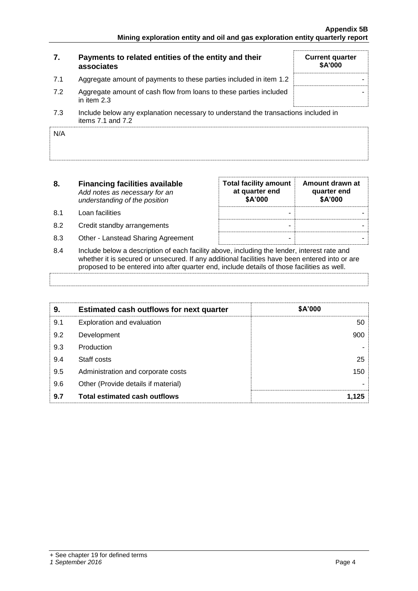| 7.  | Payments to related entities of the entity and their<br>associates                                      | <b>Current quarter</b><br>\$A'000 |
|-----|---------------------------------------------------------------------------------------------------------|-----------------------------------|
| 7.1 | Aggregate amount of payments to these parties included in item 1.2                                      |                                   |
| 7.2 | Aggregate amount of cash flow from loans to these parties included<br>in item 2.3                       |                                   |
| 7.3 | Include below any explanation necessary to understand the transactions included in<br>items 7.1 and 7.2 |                                   |

| N/A |  |
|-----|--|
|     |  |
|     |  |
|     |  |
|     |  |
|     |  |
|     |  |
|     |  |
|     |  |
|     |  |
|     |  |
|     |  |
|     |  |
|     |  |
|     |  |

| 8.  | <b>Financing facilities available</b><br>Add notes as necessary for an<br>understanding of the position | <b>Total facility amount</b><br>at quarter end<br>\$A'000 | Amount drawn at<br>quarter end<br>\$A'000 |
|-----|---------------------------------------------------------------------------------------------------------|-----------------------------------------------------------|-------------------------------------------|
| 8.1 | Loan facilities                                                                                         |                                                           |                                           |
| 8.2 | Credit standby arrangements                                                                             | -                                                         |                                           |
| 8.3 | Other - Lanstead Sharing Agreement                                                                      |                                                           |                                           |
| 8.4 | Include below a description of each facility above, including the lender, interest rate and             |                                                           |                                           |

8.4 Include below a description of each facility above, including the lender, interest rate and whether it is secured or unsecured. If any additional facilities have been entered into or are proposed to be entered into after quarter end, include details of those facilities as well.

| 9.  | <b>Estimated cash outflows for next quarter</b> | \$A'000 |
|-----|-------------------------------------------------|---------|
| 9.1 | Exploration and evaluation                      | 50      |
| 9.2 | Development                                     | 900     |
| 9.3 | Production                                      |         |
| 9.4 | Staff costs                                     | 25      |
| 9.5 | Administration and corporate costs              | 150     |
| 9.6 | Other (Provide details if material)             |         |
| 9.7 | <b>Total estimated cash outflows</b>            | 1.125   |